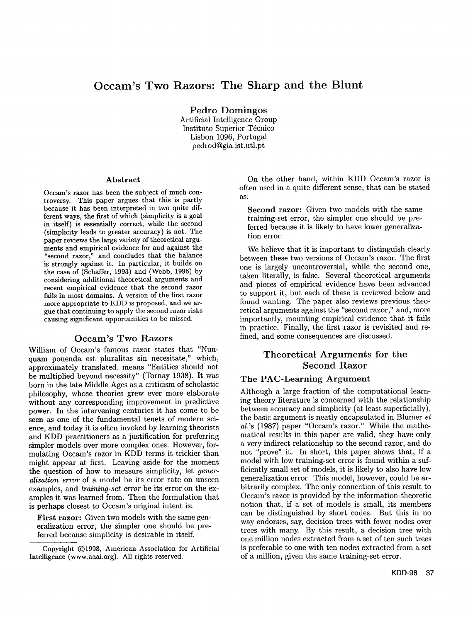# **Occam's Two Razors: The Sharp and the Blunt**

Pedro Domingos Artificial Intelligence Group Instituto Superior Técnico Lisbon 1096, Portugal pedrod@gia.ist.utl.pt

#### Abstract

Occam's razor has been the subject of much controversy. This paper argues that this is partly because it has been interpreted in two quite different ways, the first of which (simplicity is a goal in itself) is essentially correct, while the second (simplicity leads to greater accuracy) is not. The paper reviews the large variety of theoretical arguments and empirical evidence for and against the "second razor," and concludes that the balance is strongly against it. In particular, it builds on the case of (Schaffer, 1993) and (Webb, 1996) considering additional theoretical arguments and recent empirical evidence that the second razor fails in most domains. A version of the first razor more appropriate to KDD is proposed, and we argue that continuing to apply the second razor risks causing significant opportunities to be missed.

#### Occam's Two Razors

William of Occam's famous razor states that "Nunquam ponenda est pluralitas sin necesitate," which, approximately translated, means "Entities should not be multiplied beyond necessity" (Tornay 1938). It was born in the late Middle Ages as a criticism of scholastic philosophy, whose theories grew ever more elaborate without any corresponding improvement in predictive power. In the intervening centuries it has come to be seen as one of the fundamental tenets of modern science, and today it is often invoked by learning theorists and KDD practitioners as a justification for preferring simpler models over more complex ones. However, formulating Occam's razor in KDD terms it trickier than might appear at first. Leaving aside for the moment the question of how to measure simplicity, let *generalization error* of a model be its error rate on unseen examples, and *training-set error* be its error on the examples it was learned from. Then the formulation that is perhaps closest to Occam's original intent is:

First razor: Given two models with the same generalization error, the simpler one should be preferred because simplicity is desirable in itself.

On the other hand, within KDD Occam's razor is often used in a quite different sense, that can be stated as:

Second razor: Given two models with the same training-set error, the simpler one should be preferred because it is likely to have lower generalization error.

We believe that it is important to distinguish clearly between these two versions of Occam's razor. The first one is largely uncontroversial, while the second one, taken literally, is false. Several theoretical arguments and pieces of empirical evidence have been advanced to support it, but each of these is reviewed below and found wanting. The paper also reviews previous theoretical arguments against the "second razor," and, more importantly, mounting empirical evidence that it fails in practice. Finally, the first razor is revisited and refined, and some consequences are discussed.

# Theoretical Arguments for the Second Razor

## The PAC-Learning Argument

Although a large fraction of the computational learning theory literature is concerned with the relationship between accuracy and simplicity (at least superficially), the basic argument is neatly encapsulated in Blumer *et al.'s* (1987) paper "Occam's razor." While the mathematical results in this paper are valid, they have only a very indirect relationship to the second razor, and do not "prove" it. In short, this paper shows that, if a model with low training-set error is found within a sufficiently small set of models, it is likely to also have low generalization error. This model, however, could be arbitrarily complex. The only connection of this result to Occam's razor is provided by the information-theoretic notion that, if a set of models is small, its members can be distinguished by short codes. But this in no way endorses, say, decision trees with fewer nodes over trees with many. By this result, a decision tree with one million nodes extracted from a set of ten such trees is preferable to one with ten nodes extracted from a set of a million, given the same training-set error.

Copyright ©1998, American Association for Artificial Intelligence (www.aaai.org). All rights reserved.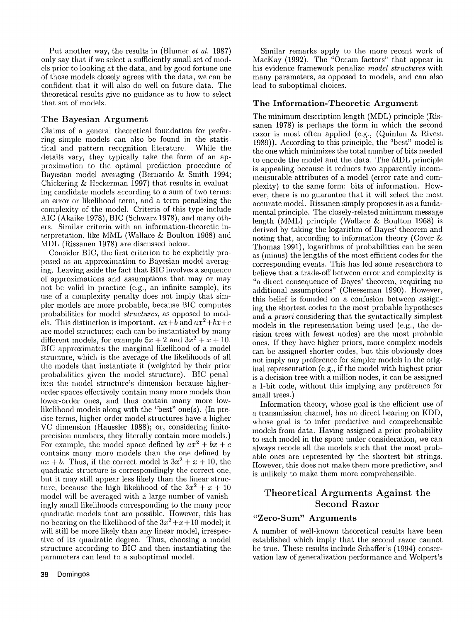Put another way, the results in (Blumer *et al.* 1987) only say that if we select a sufficiently small set of modcls prior to looking at the data, and by good fortune **one** of those models closely agrees with the data, we can be confident that it will also do well on future data. The theoretical results give no guidance as to how to select that set of models.

#### **The Bayesian Argument**

Claims of a general theoretical foundation for preferring simple models can also be found in the statistical and pattern recognition literature. While the details vary, they typically take the form of an approximation to the optimal prediction procedure of Bayesian model averaging (Bernardo & Smith 1994; Chickering & Heckerman 1997) that results in evaluating candidate models according to a sum of two terms: an error or likelihood term, and a term penalizing the complexity of the model. Criteria of this type include AIC (Akaike 1978), BIC (Schwarz 1978), and many others. Similar criteria with an information-theoretic interpretation, like MML (Wallace & Boulton 1968) and MDL (Rissanen 1978) are discussed below.

Consider BIC, the first criterion to be explicitly proposed as an approximation to Bayesian model averaging. Leaving aside the fact that BIC involves a sequence of approximations and assumptions that may or may not be valid in practice (e.g., an infinite sample), its use of a complexity penalty does not imply that simpler models are more probable, because BIC computes probabilities for model *structures,* as opposed to models. This distinction is important, *ax+b* and *ax2 +bx+c* are model structures; each can be instantiated by many different models, for example  $5x + 2$  and  $3x^2 + x + 10$ . BIC approximates the marginal likelihood of a model structure, which is the average of the likelihoods of all the models that instantiate it (weighted by their prior probahilities given the model structure). BIC penalizes the model structure's dimension because higherorder spaces effectively contain many more models than lower-order ones, and thus contain many more lowlikelihood models along with the "best" one(s). (In precise terms, higher-order model structures have a higher VC dimension (Haussler 1988); or, considering finiteprecision numbers, they literally contain more models.) For example, the model space defined by  $ax^2 + bx + c$ contains many more models than the one defined by  $ax + b$ . Thus, if the correct model is  $3x^2 + x + 10$ , the quadratic structure is correspondingly the correct one, but it may still appear less likely than the linear structure, because the high likelihood of the  $3x^2 + x + 10$ model will be averaged with a large number of vanishingly small likelihoods corresponding to the many poor quadratic models that are possible. However, this has no bearing on the likelihood of the  $3x^2 + x + 10$  model; it will still be more likely than any linear model, irrespective of its quadratic degree. Thus, choosing a model structure according to BIC and then instantiating the parameters can lead to a suboptimal model.

Similar remarks apply to the more recent work of MacKay (1992). The "Occam factors" that appear in his evidence framework penalize *model structures* with many parameters, as opposed to models, and can also lead to suboptimal choices.

#### **The Information-Theoretic Argument**

The minimum description length (MDL) principle (Rissanen 1978) is perhaps the form in which the second razor is most often applied (e.g., (Quinlan & Rivest 1989)). According to this principle, the "best" model is the one which minimizes the total number of bits needed to encode the model and the data. The MDL principle is appealing because it reduces two apparently incommensurable attributes of a model (error rate and complexity) to the same form: bits of information. However, there is no guarantee that it will select the most accurate model. Rissanen simply proposes it as a fundamental principle. The closely-related minimum message length (MML) principle (Wallace & Boulton 1968) derived by taking the logarithm of Bayes' theorem and noting that, according to information theory (Cover  $\&$ Thomas 1991), logarithms of probabilities can be seen as (minus) the lengths of the most efficient codes for the corresponding events. This has led some researchers to believe that a trade-off between error and complexity is "a direct consequence of Bayes' theorem, requiring no additional assumptions" (Cheeseman 1990). However, this belief is founded on a confusion between assigning the shortest codes to the most probable hypotheses and *a priori* considering that the syntactically simplest models in the representation being used (e.g., the decision trees with fewest nodes) are the most probable ones. If they have higher priors, more complex models can be assigned shorter codes, but this obviously does not imply any preference for simpler models in the original representation (e.g., if the model with highest prior is a decision tree with a million nodes, it can be assigned a 1-bit code, without this implying any preference for small trees.)

Information theory, whose goal is the efficient use of a transmission channel, has no direct bearing on KDD, whose goal is to infer predictive and comprehensible models from data. Having assigned a prior probability to each model in the space under consideration, we can always recode all the models such that the most probable ones are represented by the shortest bit strings. However, this does not make them more predictive, and is unlikely to make **them** more comprehensible.

# **Theoretical Arguments Against the Second Razor**

# **"Zero-Sum" Arguments**

A uumber of well-known theoretical results have been established which imply that the second razor cannot be true. These results include Schaffer's (1994) conservation law of generalization performance and Wolpert's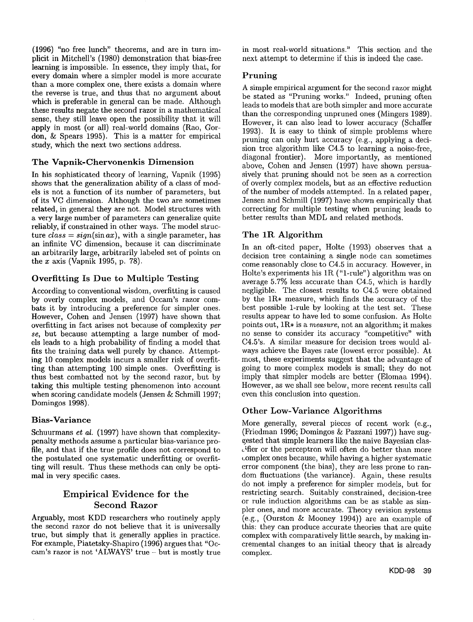(1996) "no free lunch" theorems, and are in turn implicit in Mitchell's (1980) demonstration that bias-free learning is impossible. In essence, they imply that, for every domain where a simpler model is more accurate than a more complex one, there exists a domain where **the** reverse is true, and thus that no argument about **which** is preferable in general can be made. Although **these** results negate the second razor in a mathematical sense, they still leave open the possibility that it will apply in most (or all) real-world domains (Rao, Gordon, & Spears 1995). This is a matter for empirical study, which the next two sections address.

### **The Vapnik-Chervonenkis Dimension**

In his sophisticated theory of learning, Vapnik (1995) shows that the generalization ability of a class of models is not a function of its number of parameters, but of its VC dimension. Although the two are sometimes related, in general they are not. Model structures with a very large number of parameters can generalize quite reliably, if constrained in other ways. The model structure  $class = sign(\sin ax)$ , with a single parameter, has an infinite VC dimension, because it can discriminate an arbitrarily large, arbitrarily labeled set of points on the  $x$  axis (Vapnik 1995, p. 78).

## Overfitting Is Due to Multiple **Testing**

According to conventional wisdom, overfitting is caused by overly complex models, and Occam's razor combats it by introducing a preference for simpler ones. However, Cohen and Jensen (1997) have shown that overfitting in fact arises not because of complexity *per se,* but because attempting a large number of models leads to a high probability of finding a model that fits the training data well purely by chance. Attempting 10 complex models incurs a smaller risk of overfitting than attempting 100 simple ones. Overfitting is thus best combatted not by the second razor, but by taking this multiple testing phenomenon into account when scoring candidate models (Jensen & Schmill 1997; Domingos 1998).

### **Bias-Variance**

Schuurmans *et al.* (1997) have shown that complexitypenalty methods assume a particular bias-variance profile, and that if the true profile does not correspond to **the** postulated one systematic underfitting or overfitting will result. Thus these methods can only be optimal in very specific cases.

# Empirical Evidence for the Second Razor

Arguably, most KDD researchers who routinely apply **the** second razor do not believe that it is universally true, but simply that it generally applies in practice. For example, Piatetsky-Shapiro (1996) argues that "Occam's razor is not 'ALWAYS' true - but is mostly true in most real-world situations." This section and the next attempt to determine if this is indeed the case.

### **Pruning**

A simple empirical argument for the second razor might be stated as "Pruning works." Indeed, pruning often leads to models that are both simpler and more accurate than the corresponding unpruned ones (Mingers 1989). However, it can also lead to lower accuracy (Schaffer 1993). It is easy to think of simple problems where pruning can only hurt accuracy (e.g., applying a decision tree algorithm like C4.5 to learning a noise-free, diagonal frontier). More importantly, as mentioned above, Cohen and Jensen (1997) have shown persuasively that pruning should not be seen as a correction of overly complex models, but as an effective reduction of the number of models attempted. In a related paper, Jensen and Schmill (1997) have shown empirically that correcting for multiple testing when pruning leads to better results than MDL and related methods.

### **The** 1R Algorithm

In an oft-cited paper, Holte (1993) observes that a decision tree containing a single node can sometimes come reasonably close to C4.5 in accuracy. However, in Holte's experiments his 1R ("l-rule") algorithm was average 5.7% less accurate than C4.5, which is hardly negligible. The closest results to C4.5 were obtained by the  $1R*$  measure, which finds the accuracy of the best possible 1-rule by looking at the test set. These results appear to have led to some confusion. As Holte points out, 1R\* is a *measure,* not an algorithm; it makes no sense to consider its accuracy "competitive" with C4.5's. A similar measure for decision trees would always achieve the Bayes rate (lowest error possible). most, these experiments suggest that the advantage of going to more complex models is small; they do not imply that simpler models are better (Elomaa 1994). However, as we shall see below, more recent results call even this conclusion into question.

## **Other Low-Variance** Algorithms

More generally, several pieces of recent work (e.g., (Friedman 1996; Domingos & Pazzani 1997)) have suggested that simple learners like the naive Bayesian clas- ~;fier or the perceptron will often do better than more ~omplex ones because, while having a higher systematic error component (the bias), they are less prone to random fluctuations (the variance). Again, these results do not imply a preference for simpler models, but for restricting search. Suitably constrained, decision-tree or rule induction algorithms can be as stable as simpler ones, and more accurate. Theory revision systems (e.g., (Ourston & Mooney 1994)) are an example this: they can produce accurate theories that are quite complex with comparatively little search, by making incremental changes to an initial theory that is already complex.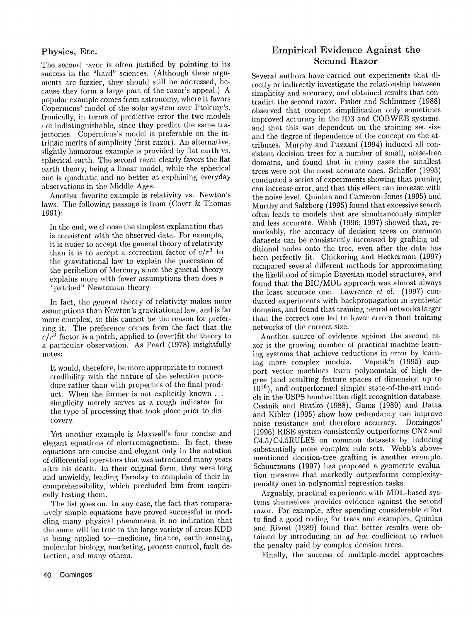#### **Physics, Etc.**

The second razor is often justified by pointing to its success in the "hard" sciences. (Although these arguments are fuzzier, they should still be addressed, because they form a large part of the razor's appeal.) A popular example comes from astronomy, where it favors Copernicus' model of the solar system over Ptolemy's. Ironically, in terms of predictive error the two models are indistinguishable, since they predict the same trajectories. Copernicus's model is preferable on the intrinsic merits of simplicity (first razor). An alternative, slightly humorous example is provided by flat earth vs. spherical earth. The second razor clearly favors the fiat earth theory, being a linear model, while the spherical one is quadratic and no better at explaining everyday observations in the Middle Ages.

Another favorite example is relativity vs. Newton's laws. The following passage is from (Cover & Thomas 1991):

In the end, we choose the simplest explanation that is consistent with the observed data. For example, it is easier to accept the general theory of relativity than it is to accept a correction factor of  $c/r^3$  to the gravitational law to explain the precession of the perihelion of Mercury, since the general theory explains more with fewer assumptions than does a "patched" Newtonian theory.

In fact, the general theory of relativity makes more assmnptions than Newton's gravitational law, and is far more complex, so this cannot be the reason for preferring it. The preference comes from the fact that the  $c/r^3$  factor *is* a patch, applied to (over)fit the theory to a particular observation. As Pearl (1978) insightfully notes:

It would, therefore, be more appropriate to connect credibility with the nature of the selection proce dure rather than with properties of the final product. When the former is not explicitly known ... simplicity merely serves as a rough indicator for the type of processing that took place prior to discovery.

Yet another example is Maxwell's four concise and elegant equations of electromagnetism. In fact, these equations are concise and elegant only in the notation of differential operators that was introduced many years after his death. In their original form, they were long and unwieldy, leading Faraday to complain of their incomprehensibility, which precluded him from empirically testing them.

The list goes on. In any case, the fact that comparatively simple equations have proved successful in modcling many physical phenomena is no indication that the same will be true in the large variety of areas KDD is being applied to—medicine, finance, earth sensing, molecular biology, marketing, process control, fault detection, and many others.

# **Empirical Evidence Against the Second Razor**

Several authors have carried out experiments that directly or indirectly investigate the relationship between simplicity and accuracy, and obtained results that contradict the second razor. Fisher and Schlimmer (1988) observed that concept simplification only sometimes improved accuracy in the ID3 and COBWEB systems, and that this was dependent on the training set size and the degree of dependence of the concept on the attributes. Murphy and Pazzani (1994) induced all consistent decision trees for a number of small, noise-free domains, and found that in many cases the smallest trees were not the most accurate ones. Schaffer (1993) conducted a series of experiments showing that pruning can increase error, and that this effect can increase with the noise level. Quinlan and Cameron-Jones (1995) and Murthy and Salzberg (1995) found that excessive search often leads to models that are simultaneously simpler and less accurate. Webb (1996; 1997) showed that, remarkably, the accuracy of decision trees on common datasets can be consistently increased by grafting additional nodes onto the tree, even after the data has been perfectly fit. Chickering and Heckerman (1997) compared several different methods for approximating the likelihood of simple Bayesian model structures, and found that the BIC/MDL approach was ahnost always the least accurate one. Lawrence *et al.* (1997) conducted experiments with backpropagation in synthetic domains, and found that training neural networks larger than the correct one led to lower errors than training networks of the correct size.

Another source of evidence against the second razor is the growing number of practical machine learning systems that achieve reductions in error by learn-<br>ing more complex models. Vapnik's (1995) suping more complex models. port vector machines learn polynomials of high degree (and resulting feature spaces of dimension up to 1016), and outperformed simpler state-of-the-art models in the USPS handwritten digit recognition database. Cestnik and Bratko (1988), Gams (1989) and Datta and Kibler (1995) show how redundancy can improve noise resistance and therefore accuracy. Domingos' (1996) RISE system consistently outperforms  $CN2$  and C4.5/C4.5RULES on common datasets by inducing substantially more complex rule sets. Webb's abovementioned decision-tree grafting is another example. Schuurmans (1997) has proposed a geometric evaluation measure that markedly outperforms complexitypenalty ones in polynomial regression tasks.

Arguably, practical experience with MDL-based systems themselves provides evidence against the second razor. For example, after spending considerable effort to find a good coding for trees and examples, Quinlan and Rivest (1989) found that better results were obtained by introducing an *ad hoc* coefficient to reduce the penalty paid by complex decision trees.

Finally, the success of multiple-model approaches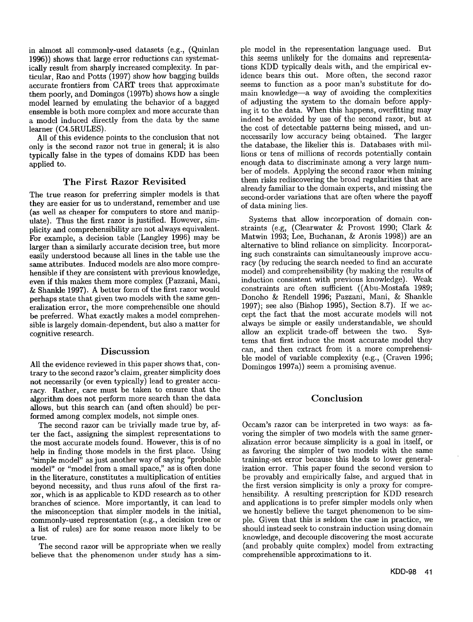in almost all commonly-used datasets (e.g., (Quinlan 1996)) shows that large error reductions can systematically result from sharply increased complexity. In particular, Rao and Potts (1997) show how bagging builds accurate frontiers from CART trees that approximate them poorly, and Domingos (1997b) shows how a single model learned by emulating the behavior of a bagged ensemble is both more complex and more accurate than a model induced directly from the data by the same learner (C4.5RULES).

All of this evidence points to the conclusion that not only is the second razor not true in general; it is also typically false in the types of domains KDD has been applied to.

### The First Razor Revisited

The true reason for preferring simpler models is that they are easier for us to understand, remember and use (as well as cheaper for computers to store and manipulate). Thus the first razor is justified. However, simplicity and comprehensibility are not always equivalent. For example, a decision table (Langley 1996) may be larger than a similarly accurate decision tree, but more easily understood because all lines in the table use the same attributes. Induced models are also more comprehensible if they are consistent with previous knowledge, even if this makes them more complex (Pazzani, Mani, & Shankle 1997). A better form of the first razor would perhaps state that given two models with the same generalization error, the more comprehensible one should be preferred. What exactly makes a model comprehensible is largely domain-dependent, but also a matter for cognitive research.

### Discussion

All the evidence reviewed in this paper shows that, contrary to the second razor's claim, greater simplicity does **not** necessarily (or even typically) lead to greater accuracy. Rather, care must be taken to ensure that the algorithm does not perform more search than the data allows, but this search can (and often should) be performed among complex models, not simple ones.

The second razor can be trivially made true by, after the fact, assigning the simplest representations to the most accurate models found. However, this is of no help in finding those models in the first place. Using "simple model" as just another way of saying "probable model" or "model from a small space," as is often done in the literature, constitutes a multiplication of entities beyond necessity, and thus runs afoul of the first razor, which is as applicable to KDD research as to other branches of science. More importantly, it can lead to the misconception that simpler models in the initial, commonly-used representation (e.g., a decision tree or a list of rules) are for some reason more likely to be true.

The second razor will be appropriate when we really believe that the phenomenon under study has a sim-

ple model in the representation language used. But this seems unlikely for the domains and representations KDD typically deals with, and the empirical evidence bears this out. More often, the second razor seems to function as a poor man's substitute for domain knowledge--a way of avoiding the complexities of adjusting the system to the domain before applying it to the data. When this happens, overfitting may indeed be avoided by use of the second razor, but at the cost of detectable patterns being missed, and unnecessarily low accuracy being obtained. The larger the database, the likelier this is. Databases with millions or tens of millions of records potentially contain enough data to discriminate among a very large number of models. Applying the second razor when mining them risks rediscovering the broad regularities that are already familiar to the domain experts, and missing the second-order variations that are often where the payoff of data mining lies.

Systems that allow incorporation of domain constraints (e.g, (Clearwater & Provost 1990; Clark Matwin 1993; Lee, Buchanan, & Aronis 1998)) are alternative to blind reliance on simplicity. Incorporating such constraints can simultaneously improve accuracy (by reducing the search needed to find an accurate model) and comprehensibility (by making the results induction consistent with previous knowledge). Weak constraints are often sufficient ((Abu-Mostafa 1989; Donoho & Rendell 1996; Pazzani, Mani, & Shankle 1997); see also (Bishop 1995), Section 8.7). If we cept the fact that the most accurate models will not always be simple or easily understandable, we should allow an explicit trade-off between the two. Systems that first induce the most accurate model they can, and then extract from it a more comprehensible model of variable complexity (e.g., (Craven 1996; Domingos 1997a)) seem a promising avenue.

### **Conclusion**

Occam's razor can be interpreted in two ways: as favoring the simpler of two models with the same generalization error because simplicity is a goal in itself, or as favoring the simpler of two models with the same training-set error because this leads to lower generalization error. This paper found the second version to be provably and empirically false, and argued that in the first version simplicity is only a proxy for comprehensibility. A resulting prescription for KDD research and applications is to prefer simpler models only when we honestly believe the target phenomenon to be simple. Given that this is seldom the case in practice, we should instead seek to constrain induction using domain knowledge, and decouple discovering the most accurate (and probably quite complex) model from extracting comprehensible approximations to it.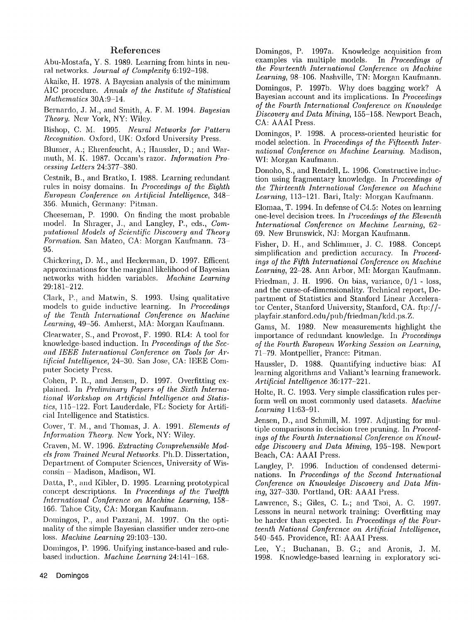### **References**

Abu-Mostafa, Y. S. 1989. Learning from hints in neural networks. *Journal of Complexity* 6:192-198.

Akaike, H. 1978. A Bayesian analysis of the minimum AIC procedure. Annals of the Institute of Statistical *Mathematics* 30A:9-14.

Bernardo, J. M., and Smith, A. F. M. 1994. *Bayesian Theory.* New York, NY: Wiley.

Bishop, C. M. 1995. *Neural Networks for Pattern Recognition.* Oxford, UK: Oxford University Press.

Blumer, A.; Ehrenfeucht, A.; Haussler, D.; and Warmuth, M. K. 1987. Occam's razor. *Information Processing Letters* 24:377 380.

Cestnik, B., and Bratko, I. 1988. Learning redundant rules in noisy domains. In *Proceedings of thc Eighth European Conference on Artificial Intelligence,* 348 356. Munich, Germany: Pitman.

Cheeseman, P. 1990. On finding the most probable model. In Shrager, J., and Langley, P., eds., *Computational Models of Scientific Discovery and Theory Formation.* San Mateo, CA: Morgan Kaufmann. 73– 95.

Chickering, D. M., and Heckerman, D. 1997. Efficent approximations for the marginal likelihood of Bayesian networks with hidden variables. *Machine Learning* 29:181-212.

Clark, P., and Matwin, S. 1993. Using qualitative models to guide inductive learning. In *Proceedings of the Tenth h~ternational Conference on Machine Learning,* 49-56. Amherst, MA: Morgan Kaufinann.

Clearwater, S., and Provost, F. 1990. RL4: A tool for knowledge-based induction. In *Proceedings of the Second IEEE International Conference on Tools for Artificial httelligence,* 24-30. San Jose, CA: IEEE Computer Society Press.

Cohen, P. R., and Jensen, D. 1997. Overfitting explained. In *Preliminary Papers of the Sixth International Workshop on Artificial httelligenee and Statistics,* 115-122. Fort Lauderdale, FL: Society for Artificial Intelligence and Statistics.

Cover, T. M., and Thomas, J. A. 1991. *Elements of Information Theory.* New York, NY: Wiley.

Craven, M. W. 1996. *Extracting Comprehensible Models from Trained Neural Networks.* Ph.D. Dissertation, Department of Computer Sciences, University of Wisconsin - Madison, Madison, WI.

Datta, P., and Kibler, D. 1995. Learning prototypical concept descriptions. In *Proceedings of the Twelfth h~ternational Conference on Machine Learning,* 158- 166. Tahoe City, CA: Morgan Kaufinann.

Domingos, P., and Pazzani, M. 1997. On the optimality of the simple Bayesian classifier under zero-one loss. *Machine Learning* 29:103-130.

Domingos, P. 1996. Unifying instance-based and rulebased induction. *Machine Learning* 24:141-168.

Domingos, P. 1997a. Knowledge acquisition from examples via multiple models. In *Proceedings of the Fourteenth International Conference on Machine* Learning, 98-106. Nashville, TN: Morgan Kaufmann. Domingos, P. 1997b. Why does bagging work? A Bayesian account and its implications. In *Proceedings of the Fourth International Conference on Knowledge Discovery and Data Mining,* 155-158. Newport Beach, CA: AAAI Press.

Domingos, P. 1998. A process-oriented heuristic for model selection. In *Proceedings of the Fifteenth International Conference on Machine Learning.* Madison, WI: Morgan Kaufmann.

Donoho, S., and Rendell, L. 1996. Constructive induction using fragmentary knowledge. In *Proceedings of the Thirteenth h~ternational Conference* on *Machine Learning,* 113-121. Bari, Italy: Morgan Kaufinann.

Elomaa, T. 1994. In defense of C4.5: Notes on learning one-level decision trees. In *Pwceedings of the Eleventh International Conference on Machine Learning,* 62- 69. New Brunswick, NJ: Morgan Kaufmann.

Fisher, D. H., and Schlimmer, J. C. 1988. Concept simplification and prediction accuracy. In *Proceedings of the Fifth International Conference on Machine Learning,* 22-28. Ann Arbor, MI: Morgan Kaufmann.

Friedman, J. H. 1996. On bias, variance, 0/1 - loss, and the curse-of-dimensionality. Technical report, Department of Statistics and Stanford Linear Accelerator Center, Stanford University, Stanford, CA. ftp://playfair.stanford.edu/pub/friedman/kdd.ps.Z.

Gams, M. 1989. New measurements highlight the importance of redundant knowledge. In *Proceedings of the Fourth European Working Session* on *Learning,* 71-79. Montpellier, France: Pitman.

Haussler, D. 1988. Quantifying inductive bias: AI learning algorithms and Valiant's learning framework. *Artificial Intelligence* 36:177-221.

Holte, R. C. 1993. Very simple classification rules perform well on most commonly used datasets. *Machine Learning* 11:63-91.

Jensen, D., and Schmill, M. 1997. Adjusting for multiple comparisons in decision tree pruning. In *Proceedings of the Fourth International Conference on If howledge Discovery and Data Mining,* 195-198. Newport Beach, CA: AAAI Press.

Langley, P. 1996. Induction of condensed determinations. In *Proceedings of the Second International Conference on Knowledge Discovery and Data Mining,* 327-330. Portland, OR: AAAI Press.

Lawrence, S.; Giles, C. L.; and Tsoi, A. C. 1997. Lessons in neural network training: Overfitting may be harder than expected. In *Proceedings of the Fourteenth National Conference on Artificial Intelligence,* 540-545. Providence, RI: AAAI Press.

Lee, Y.; Buchanan, B. G.; and Aronis, J. M. 1998. Knowledge-based learning in exploratory sci